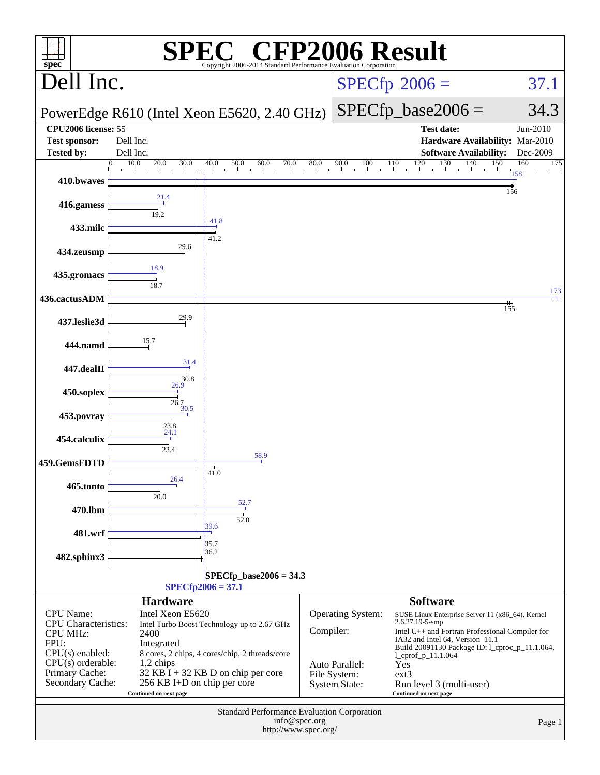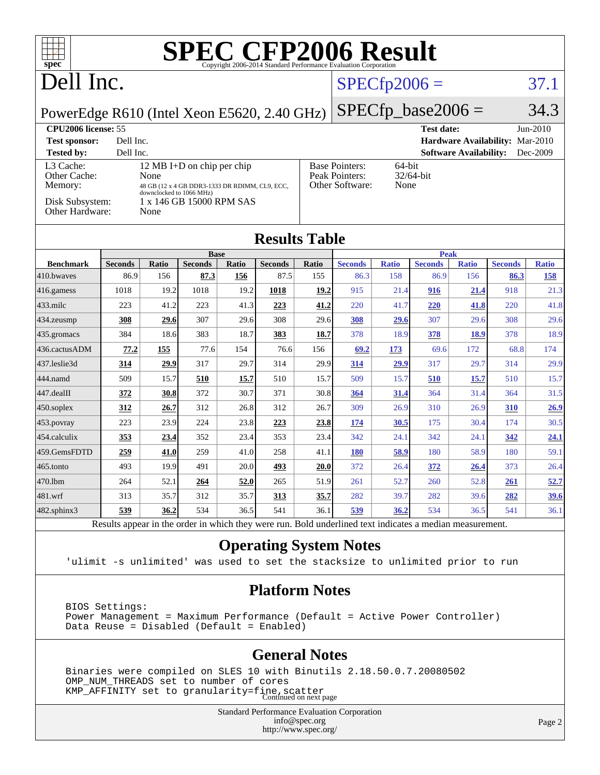| Dell Inc.           |                                                   |                                                                       |                                                            |                                                                   |                                                                                                                     |                                                                             |                                                                                                  |                                                |                                                                                                                            |                                                                                                 | 37.1                                                                                              |
|---------------------|---------------------------------------------------|-----------------------------------------------------------------------|------------------------------------------------------------|-------------------------------------------------------------------|---------------------------------------------------------------------------------------------------------------------|-----------------------------------------------------------------------------|--------------------------------------------------------------------------------------------------|------------------------------------------------|----------------------------------------------------------------------------------------------------------------------------|-------------------------------------------------------------------------------------------------|---------------------------------------------------------------------------------------------------|
|                     |                                                   |                                                                       |                                                            |                                                                   |                                                                                                                     |                                                                             |                                                                                                  |                                                |                                                                                                                            |                                                                                                 | 34.3                                                                                              |
| CPU2006 license: 55 |                                                   |                                                                       |                                                            |                                                                   |                                                                                                                     |                                                                             |                                                                                                  |                                                |                                                                                                                            |                                                                                                 | $Jun-2010$                                                                                        |
|                     |                                                   |                                                                       |                                                            |                                                                   |                                                                                                                     |                                                                             |                                                                                                  |                                                |                                                                                                                            |                                                                                                 |                                                                                                   |
|                     |                                                   |                                                                       |                                                            |                                                                   |                                                                                                                     |                                                                             |                                                                                                  |                                                |                                                                                                                            |                                                                                                 | Dec-2009                                                                                          |
|                     |                                                   |                                                                       |                                                            |                                                                   |                                                                                                                     |                                                                             |                                                                                                  |                                                |                                                                                                                            |                                                                                                 |                                                                                                   |
|                     |                                                   |                                                                       |                                                            |                                                                   |                                                                                                                     |                                                                             |                                                                                                  |                                                |                                                                                                                            |                                                                                                 |                                                                                                   |
| Other Hardware:     |                                                   |                                                                       |                                                            |                                                                   |                                                                                                                     |                                                                             |                                                                                                  |                                                |                                                                                                                            |                                                                                                 |                                                                                                   |
|                     |                                                   |                                                                       |                                                            |                                                                   |                                                                                                                     |                                                                             |                                                                                                  |                                                |                                                                                                                            |                                                                                                 |                                                                                                   |
|                     |                                                   |                                                                       |                                                            |                                                                   |                                                                                                                     |                                                                             |                                                                                                  |                                                |                                                                                                                            |                                                                                                 |                                                                                                   |
|                     |                                                   |                                                                       |                                                            |                                                                   |                                                                                                                     |                                                                             |                                                                                                  |                                                |                                                                                                                            |                                                                                                 | <b>Ratio</b><br>158                                                                               |
|                     |                                                   |                                                                       |                                                            |                                                                   |                                                                                                                     |                                                                             |                                                                                                  |                                                |                                                                                                                            |                                                                                                 | 21.3                                                                                              |
| 223                 | 41.2                                              | 223                                                                   | 41.3                                                       |                                                                   |                                                                                                                     | 220                                                                         | 41.7                                                                                             |                                                |                                                                                                                            | 220                                                                                             | 41.8                                                                                              |
| 308                 | 29.6                                              | 307                                                                   | 29.6                                                       | 308                                                               | 29.6                                                                                                                | 308                                                                         | 29.6                                                                                             | 307                                            | 29.6                                                                                                                       | 308                                                                                             | 29.6                                                                                              |
| 384                 | 18.6                                              | 383                                                                   | 18.7                                                       | 383                                                               | 18.7                                                                                                                | 378                                                                         | 18.9                                                                                             | 378                                            | <b>18.9</b>                                                                                                                | 378                                                                                             | 18.9                                                                                              |
| 77.2                | 155                                               | 77.6                                                                  | 154                                                        | 76.6                                                              | 156                                                                                                                 | 69.2                                                                        | 173                                                                                              | 69.6                                           | 172                                                                                                                        | 68.8                                                                                            | 174                                                                                               |
| 314                 | 29.9                                              | 317                                                                   | 29.7                                                       | 314                                                               | 29.9                                                                                                                | 314                                                                         | 29.9                                                                                             | 317                                            | 29.7                                                                                                                       | 314                                                                                             | 29.9                                                                                              |
| 509                 | 15.7                                              | 510                                                                   | 15.7                                                       | 510                                                               | 15.7                                                                                                                | 509                                                                         | 15.7                                                                                             | 510                                            | 15.7                                                                                                                       | 510                                                                                             | 15.7                                                                                              |
| 372                 | 30.8                                              | 372                                                                   | 30.7                                                       | 371                                                               | 30.8                                                                                                                | 364                                                                         | 31.4                                                                                             | 364                                            | 31.4                                                                                                                       | 364                                                                                             | 31.5                                                                                              |
| 312                 | 26.7                                              | 312                                                                   | 26.8                                                       | 312                                                               | 26.7                                                                                                                | 309                                                                         | 26.9                                                                                             | 310                                            | 26.9                                                                                                                       | 310                                                                                             | 26.9                                                                                              |
| 223                 | 23.9                                              | 224                                                                   | 23.8                                                       | 223                                                               | 23.8                                                                                                                | 174                                                                         | 30.5                                                                                             | 175                                            | 30.4                                                                                                                       | 174                                                                                             | 30.5                                                                                              |
| 353                 | 23.4                                              | 352                                                                   | 23.4                                                       | 353                                                               | 23.4                                                                                                                | 342                                                                         | 24.1                                                                                             | 342                                            | 24.1                                                                                                                       | 342                                                                                             | 24.1                                                                                              |
| 259                 | 41.0                                              | 259                                                                   | 41.0                                                       | 258                                                               | 41.1                                                                                                                | <b>180</b>                                                                  | 58.9                                                                                             | 180                                            | 58.9                                                                                                                       | 180                                                                                             | 59.1                                                                                              |
| 493                 | 19.9                                              | 491                                                                   | 20.0                                                       | 493                                                               | 20.0                                                                                                                | 372                                                                         | 26.4                                                                                             | 372                                            | 26.4                                                                                                                       | 373                                                                                             | 26.4                                                                                              |
| 264                 | 52.1                                              | 264                                                                   | 52.0                                                       | 265                                                               | 51.9                                                                                                                | 261                                                                         | 52.7                                                                                             | 260                                            | 52.8                                                                                                                       | 261                                                                                             | 52.7                                                                                              |
| 313                 | 35.7                                              | 312                                                                   | 35.7                                                       | 313                                                               | 35.7                                                                                                                | 282                                                                         | 39.7                                                                                             | 282                                            | 39.6                                                                                                                       | 282                                                                                             | 39.6                                                                                              |
| 539                 | 36.2                                              | 534                                                                   | 36.5                                                       | 541                                                               | 36.1                                                                                                                | 539                                                                         | 36.2                                                                                             | 534                                            | 36.5                                                                                                                       | 541                                                                                             | 36.1                                                                                              |
|                     | Disk Subsystem:<br><b>Seconds</b><br>86.9<br>1018 | Dell Inc.<br>Dell Inc.<br>None<br>None<br><b>Ratio</b><br>156<br>19.2 | downclocked to 1066 MHz)<br><b>Seconds</b><br>87.3<br>1018 | 12 MB I+D on chip per chip<br><b>Base</b><br>Ratio<br>156<br>19.2 | 48 GB (12 x 4 GB DDR3-1333 DR RDIMM, CL9, ECC,<br>1 x 146 GB 15000 RPM SAS<br><b>Seconds</b><br>87.5<br>1018<br>223 | PowerEdge R610 (Intel Xeon E5620, 2.40 GHz)<br>Ratio<br>155<br>19.2<br>41,2 | <b>Base Pointers:</b><br>Peak Pointers:<br><b>Results Table</b><br><b>Seconds</b><br>86.3<br>915 | Other Software:<br><b>Ratio</b><br>158<br>21.4 | <b>SPEC CFP2006 Result</b><br>$SPECfp2006 =$<br>64-bit<br>32/64-bit<br>None<br><b>Seconds</b><br>86.9<br>916<br><u>220</u> | $SPECfp\_base2006 =$<br><b>Test date:</b><br><b>Peak</b><br><b>Ratio</b><br>156<br>21.4<br>41.8 | Hardware Availability: Mar-2010<br><b>Software Availability:</b><br><b>Seconds</b><br>86.3<br>918 |

Results appear in the [order in which they were run.](http://www.spec.org/auto/cpu2006/Docs/result-fields.html#RunOrder) Bold underlined text [indicates a median measurement.](http://www.spec.org/auto/cpu2006/Docs/result-fields.html#Median)

#### **[Operating System Notes](http://www.spec.org/auto/cpu2006/Docs/result-fields.html#OperatingSystemNotes)**

'ulimit -s unlimited' was used to set the stacksize to unlimited prior to run

#### **[Platform Notes](http://www.spec.org/auto/cpu2006/Docs/result-fields.html#PlatformNotes)**

 BIOS Settings: Power Management = Maximum Performance (Default = Active Power Controller) Data Reuse = Disabled (Default = Enabled)

#### **[General Notes](http://www.spec.org/auto/cpu2006/Docs/result-fields.html#GeneralNotes)**

 Binaries were compiled on SLES 10 with Binutils 2.18.50.0.7.20080502 OMP\_NUM\_THREADS set to number of cores KMP\_AFFINITY set to granularity=fine, scatter<br>Continued on next page

> Standard Performance Evaluation Corporation [info@spec.org](mailto:info@spec.org) <http://www.spec.org/>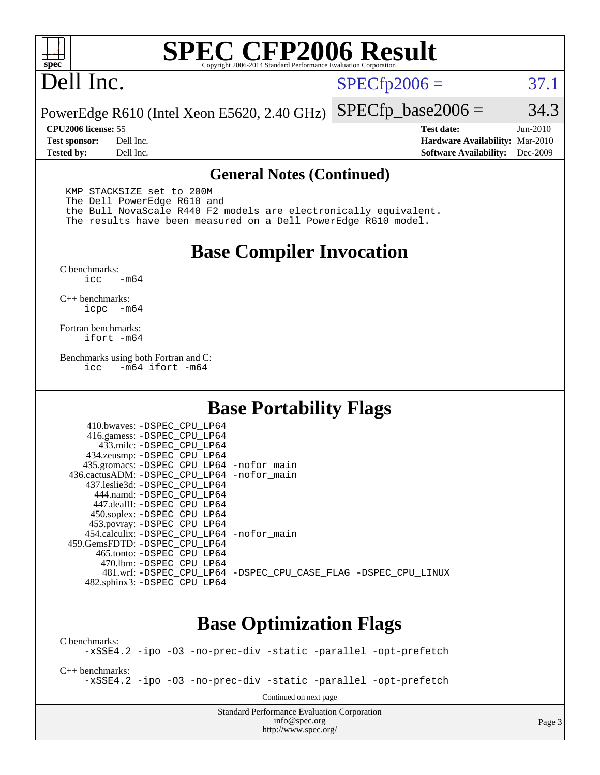

# **[SPEC CFP2006 Result](http://www.spec.org/auto/cpu2006/Docs/result-fields.html#SPECCFP2006Result)**

# Dell Inc.

 $SPECTp2006 = 37.1$ 

PowerEdge R610 (Intel Xeon E5620, 2.40 GHz)  $SPECTp\_base2006 = 34.3$ 

**[CPU2006 license:](http://www.spec.org/auto/cpu2006/Docs/result-fields.html#CPU2006license)** 55 **[Test date:](http://www.spec.org/auto/cpu2006/Docs/result-fields.html#Testdate)** Jun-2010 **[Test sponsor:](http://www.spec.org/auto/cpu2006/Docs/result-fields.html#Testsponsor)** Dell Inc. **[Hardware Availability:](http://www.spec.org/auto/cpu2006/Docs/result-fields.html#HardwareAvailability)** Mar-2010 **[Tested by:](http://www.spec.org/auto/cpu2006/Docs/result-fields.html#Testedby)** Dell Inc. **[Software Availability:](http://www.spec.org/auto/cpu2006/Docs/result-fields.html#SoftwareAvailability)** Dec-2009

#### **[General Notes \(Continued\)](http://www.spec.org/auto/cpu2006/Docs/result-fields.html#GeneralNotes)**

 KMP\_STACKSIZE set to 200M The Dell PowerEdge R610 and the Bull NovaScale R440 F2 models are electronically equivalent. The results have been measured on a Dell PowerEdge R610 model.

#### **[Base Compiler Invocation](http://www.spec.org/auto/cpu2006/Docs/result-fields.html#BaseCompilerInvocation)**

 $C$  benchmarks:<br>icc  $-m64$ 

[C++ benchmarks:](http://www.spec.org/auto/cpu2006/Docs/result-fields.html#CXXbenchmarks) [icpc -m64](http://www.spec.org/cpu2006/results/res2010q3/cpu2006-20100702-12145.flags.html#user_CXXbase_intel_icpc_64bit_bedb90c1146cab66620883ef4f41a67e)

[Fortran benchmarks](http://www.spec.org/auto/cpu2006/Docs/result-fields.html#Fortranbenchmarks): [ifort -m64](http://www.spec.org/cpu2006/results/res2010q3/cpu2006-20100702-12145.flags.html#user_FCbase_intel_ifort_64bit_ee9d0fb25645d0210d97eb0527dcc06e)

[Benchmarks using both Fortran and C](http://www.spec.org/auto/cpu2006/Docs/result-fields.html#BenchmarksusingbothFortranandC): [icc -m64](http://www.spec.org/cpu2006/results/res2010q3/cpu2006-20100702-12145.flags.html#user_CC_FCbase_intel_icc_64bit_0b7121f5ab7cfabee23d88897260401c) [ifort -m64](http://www.spec.org/cpu2006/results/res2010q3/cpu2006-20100702-12145.flags.html#user_CC_FCbase_intel_ifort_64bit_ee9d0fb25645d0210d97eb0527dcc06e)

#### **[Base Portability Flags](http://www.spec.org/auto/cpu2006/Docs/result-fields.html#BasePortabilityFlags)**

| 435.gromacs: -DSPEC_CPU_LP64 -nofor_main                       |
|----------------------------------------------------------------|
| 436.cactusADM: - DSPEC CPU LP64 - nofor main                   |
|                                                                |
|                                                                |
|                                                                |
|                                                                |
|                                                                |
| 454.calculix: - DSPEC CPU LP64 - nofor main                    |
|                                                                |
|                                                                |
|                                                                |
| 481.wrf: -DSPEC CPU_LP64 -DSPEC_CPU_CASE_FLAG -DSPEC_CPU_LINUX |
|                                                                |
|                                                                |

## **[Base Optimization Flags](http://www.spec.org/auto/cpu2006/Docs/result-fields.html#BaseOptimizationFlags)**

[C benchmarks](http://www.spec.org/auto/cpu2006/Docs/result-fields.html#Cbenchmarks): [-xSSE4.2](http://www.spec.org/cpu2006/results/res2010q3/cpu2006-20100702-12145.flags.html#user_CCbase_f-xSSE42_f91528193cf0b216347adb8b939d4107) [-ipo](http://www.spec.org/cpu2006/results/res2010q3/cpu2006-20100702-12145.flags.html#user_CCbase_f-ipo) [-O3](http://www.spec.org/cpu2006/results/res2010q3/cpu2006-20100702-12145.flags.html#user_CCbase_f-O3) [-no-prec-div](http://www.spec.org/cpu2006/results/res2010q3/cpu2006-20100702-12145.flags.html#user_CCbase_f-no-prec-div) [-static](http://www.spec.org/cpu2006/results/res2010q3/cpu2006-20100702-12145.flags.html#user_CCbase_f-static) [-parallel](http://www.spec.org/cpu2006/results/res2010q3/cpu2006-20100702-12145.flags.html#user_CCbase_f-parallel) [-opt-prefetch](http://www.spec.org/cpu2006/results/res2010q3/cpu2006-20100702-12145.flags.html#user_CCbase_f-opt-prefetch) [C++ benchmarks:](http://www.spec.org/auto/cpu2006/Docs/result-fields.html#CXXbenchmarks) [-xSSE4.2](http://www.spec.org/cpu2006/results/res2010q3/cpu2006-20100702-12145.flags.html#user_CXXbase_f-xSSE42_f91528193cf0b216347adb8b939d4107) [-ipo](http://www.spec.org/cpu2006/results/res2010q3/cpu2006-20100702-12145.flags.html#user_CXXbase_f-ipo) [-O3](http://www.spec.org/cpu2006/results/res2010q3/cpu2006-20100702-12145.flags.html#user_CXXbase_f-O3) [-no-prec-div](http://www.spec.org/cpu2006/results/res2010q3/cpu2006-20100702-12145.flags.html#user_CXXbase_f-no-prec-div) [-static](http://www.spec.org/cpu2006/results/res2010q3/cpu2006-20100702-12145.flags.html#user_CXXbase_f-static) [-parallel](http://www.spec.org/cpu2006/results/res2010q3/cpu2006-20100702-12145.flags.html#user_CXXbase_f-parallel) [-opt-prefetch](http://www.spec.org/cpu2006/results/res2010q3/cpu2006-20100702-12145.flags.html#user_CXXbase_f-opt-prefetch) Continued on next page

> Standard Performance Evaluation Corporation [info@spec.org](mailto:info@spec.org) <http://www.spec.org/>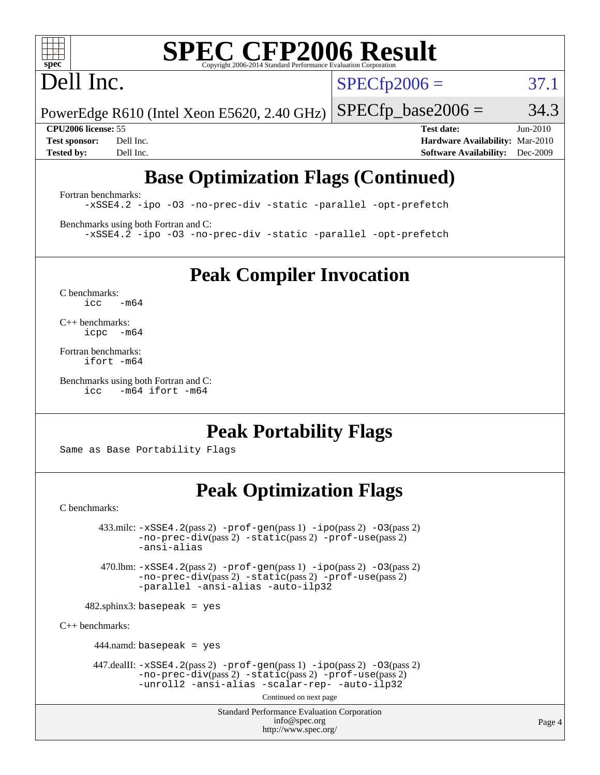# **[SPEC CFP2006 Result](http://www.spec.org/auto/cpu2006/Docs/result-fields.html#SPECCFP2006Result)**

# Dell Inc.

 $SPECTp2006 = 37.1$ 

PowerEdge R610 (Intel Xeon E5620, 2.40 GHz)  $SPECTp\_base2006 = 34.3$ 

**[CPU2006 license:](http://www.spec.org/auto/cpu2006/Docs/result-fields.html#CPU2006license)** 55 **[Test date:](http://www.spec.org/auto/cpu2006/Docs/result-fields.html#Testdate)** Jun-2010 **[Test sponsor:](http://www.spec.org/auto/cpu2006/Docs/result-fields.html#Testsponsor)** Dell Inc. **[Hardware Availability:](http://www.spec.org/auto/cpu2006/Docs/result-fields.html#HardwareAvailability)** Mar-2010 **[Tested by:](http://www.spec.org/auto/cpu2006/Docs/result-fields.html#Testedby)** Dell Inc. **[Software Availability:](http://www.spec.org/auto/cpu2006/Docs/result-fields.html#SoftwareAvailability)** Dec-2009

## **[Base Optimization Flags \(Continued\)](http://www.spec.org/auto/cpu2006/Docs/result-fields.html#BaseOptimizationFlags)**

[Fortran benchmarks](http://www.spec.org/auto/cpu2006/Docs/result-fields.html#Fortranbenchmarks): [-xSSE4.2](http://www.spec.org/cpu2006/results/res2010q3/cpu2006-20100702-12145.flags.html#user_FCbase_f-xSSE42_f91528193cf0b216347adb8b939d4107) [-ipo](http://www.spec.org/cpu2006/results/res2010q3/cpu2006-20100702-12145.flags.html#user_FCbase_f-ipo) [-O3](http://www.spec.org/cpu2006/results/res2010q3/cpu2006-20100702-12145.flags.html#user_FCbase_f-O3) [-no-prec-div](http://www.spec.org/cpu2006/results/res2010q3/cpu2006-20100702-12145.flags.html#user_FCbase_f-no-prec-div) [-static](http://www.spec.org/cpu2006/results/res2010q3/cpu2006-20100702-12145.flags.html#user_FCbase_f-static) [-parallel](http://www.spec.org/cpu2006/results/res2010q3/cpu2006-20100702-12145.flags.html#user_FCbase_f-parallel) [-opt-prefetch](http://www.spec.org/cpu2006/results/res2010q3/cpu2006-20100702-12145.flags.html#user_FCbase_f-opt-prefetch)

[Benchmarks using both Fortran and C](http://www.spec.org/auto/cpu2006/Docs/result-fields.html#BenchmarksusingbothFortranandC): [-xSSE4.2](http://www.spec.org/cpu2006/results/res2010q3/cpu2006-20100702-12145.flags.html#user_CC_FCbase_f-xSSE42_f91528193cf0b216347adb8b939d4107) [-ipo](http://www.spec.org/cpu2006/results/res2010q3/cpu2006-20100702-12145.flags.html#user_CC_FCbase_f-ipo) [-O3](http://www.spec.org/cpu2006/results/res2010q3/cpu2006-20100702-12145.flags.html#user_CC_FCbase_f-O3) [-no-prec-div](http://www.spec.org/cpu2006/results/res2010q3/cpu2006-20100702-12145.flags.html#user_CC_FCbase_f-no-prec-div) [-static](http://www.spec.org/cpu2006/results/res2010q3/cpu2006-20100702-12145.flags.html#user_CC_FCbase_f-static) [-parallel](http://www.spec.org/cpu2006/results/res2010q3/cpu2006-20100702-12145.flags.html#user_CC_FCbase_f-parallel) [-opt-prefetch](http://www.spec.org/cpu2006/results/res2010q3/cpu2006-20100702-12145.flags.html#user_CC_FCbase_f-opt-prefetch)

**[Peak Compiler Invocation](http://www.spec.org/auto/cpu2006/Docs/result-fields.html#PeakCompilerInvocation)**

[C benchmarks](http://www.spec.org/auto/cpu2006/Docs/result-fields.html#Cbenchmarks):  $icc$   $-m64$ 

[C++ benchmarks:](http://www.spec.org/auto/cpu2006/Docs/result-fields.html#CXXbenchmarks) [icpc -m64](http://www.spec.org/cpu2006/results/res2010q3/cpu2006-20100702-12145.flags.html#user_CXXpeak_intel_icpc_64bit_bedb90c1146cab66620883ef4f41a67e)

[Fortran benchmarks](http://www.spec.org/auto/cpu2006/Docs/result-fields.html#Fortranbenchmarks): [ifort -m64](http://www.spec.org/cpu2006/results/res2010q3/cpu2006-20100702-12145.flags.html#user_FCpeak_intel_ifort_64bit_ee9d0fb25645d0210d97eb0527dcc06e)

[Benchmarks using both Fortran and C](http://www.spec.org/auto/cpu2006/Docs/result-fields.html#BenchmarksusingbothFortranandC): [icc -m64](http://www.spec.org/cpu2006/results/res2010q3/cpu2006-20100702-12145.flags.html#user_CC_FCpeak_intel_icc_64bit_0b7121f5ab7cfabee23d88897260401c) [ifort -m64](http://www.spec.org/cpu2006/results/res2010q3/cpu2006-20100702-12145.flags.html#user_CC_FCpeak_intel_ifort_64bit_ee9d0fb25645d0210d97eb0527dcc06e)

## **[Peak Portability Flags](http://www.spec.org/auto/cpu2006/Docs/result-fields.html#PeakPortabilityFlags)**

Same as Base Portability Flags

## **[Peak Optimization Flags](http://www.spec.org/auto/cpu2006/Docs/result-fields.html#PeakOptimizationFlags)**

[C benchmarks](http://www.spec.org/auto/cpu2006/Docs/result-fields.html#Cbenchmarks):

 $433 \text{.}$ milc:  $-xSSE4$ .  $2(pass 2)$  - $prof-gen(pass 1)$  - $ipo(pass 2)$  [-O3](http://www.spec.org/cpu2006/results/res2010q3/cpu2006-20100702-12145.flags.html#user_peakPASS2_CFLAGSPASS2_LDFLAGS433_milc_f-O3) $(pass 2)$ [-no-prec-div](http://www.spec.org/cpu2006/results/res2010q3/cpu2006-20100702-12145.flags.html#user_peakPASS2_CFLAGSPASS2_LDFLAGS433_milc_f-no-prec-div)(pass 2) [-static](http://www.spec.org/cpu2006/results/res2010q3/cpu2006-20100702-12145.flags.html#user_peakPASS2_CFLAGSPASS2_LDFLAGS433_milc_f-static)(pass 2) [-prof-use](http://www.spec.org/cpu2006/results/res2010q3/cpu2006-20100702-12145.flags.html#user_peakPASS2_CFLAGSPASS2_LDFLAGS433_milc_prof_use_bccf7792157ff70d64e32fe3e1250b55)(pass 2) [-ansi-alias](http://www.spec.org/cpu2006/results/res2010q3/cpu2006-20100702-12145.flags.html#user_peakOPTIMIZE433_milc_f-ansi-alias) 470.lbm: [-xSSE4.2](http://www.spec.org/cpu2006/results/res2010q3/cpu2006-20100702-12145.flags.html#user_peakPASS2_CFLAGSPASS2_LDFLAGS470_lbm_f-xSSE42_f91528193cf0b216347adb8b939d4107)(pass 2) [-prof-gen](http://www.spec.org/cpu2006/results/res2010q3/cpu2006-20100702-12145.flags.html#user_peakPASS1_CFLAGSPASS1_LDFLAGS470_lbm_prof_gen_e43856698f6ca7b7e442dfd80e94a8fc)(pass 1) [-ipo](http://www.spec.org/cpu2006/results/res2010q3/cpu2006-20100702-12145.flags.html#user_peakPASS2_CFLAGSPASS2_LDFLAGS470_lbm_f-ipo)(pass 2) [-O3](http://www.spec.org/cpu2006/results/res2010q3/cpu2006-20100702-12145.flags.html#user_peakPASS2_CFLAGSPASS2_LDFLAGS470_lbm_f-O3)(pass 2) [-no-prec-div](http://www.spec.org/cpu2006/results/res2010q3/cpu2006-20100702-12145.flags.html#user_peakPASS2_CFLAGSPASS2_LDFLAGS470_lbm_f-no-prec-div)(pass 2) [-static](http://www.spec.org/cpu2006/results/res2010q3/cpu2006-20100702-12145.flags.html#user_peakPASS2_CFLAGSPASS2_LDFLAGS470_lbm_f-static)(pass 2) [-prof-use](http://www.spec.org/cpu2006/results/res2010q3/cpu2006-20100702-12145.flags.html#user_peakPASS2_CFLAGSPASS2_LDFLAGS470_lbm_prof_use_bccf7792157ff70d64e32fe3e1250b55)(pass 2) [-parallel](http://www.spec.org/cpu2006/results/res2010q3/cpu2006-20100702-12145.flags.html#user_peakOPTIMIZE470_lbm_f-parallel) [-ansi-alias](http://www.spec.org/cpu2006/results/res2010q3/cpu2006-20100702-12145.flags.html#user_peakOPTIMIZE470_lbm_f-ansi-alias) [-auto-ilp32](http://www.spec.org/cpu2006/results/res2010q3/cpu2006-20100702-12145.flags.html#user_peakCOPTIMIZE470_lbm_f-auto-ilp32)  $482$ .sphinx3: basepeak = yes [C++ benchmarks:](http://www.spec.org/auto/cpu2006/Docs/result-fields.html#CXXbenchmarks) 444.namd: basepeak = yes 447.dealII: [-xSSE4.2](http://www.spec.org/cpu2006/results/res2010q3/cpu2006-20100702-12145.flags.html#user_peakPASS2_CXXFLAGSPASS2_LDFLAGS447_dealII_f-xSSE42_f91528193cf0b216347adb8b939d4107)(pass 2) [-prof-gen](http://www.spec.org/cpu2006/results/res2010q3/cpu2006-20100702-12145.flags.html#user_peakPASS1_CXXFLAGSPASS1_LDFLAGS447_dealII_prof_gen_e43856698f6ca7b7e442dfd80e94a8fc)(pass 1) [-ipo](http://www.spec.org/cpu2006/results/res2010q3/cpu2006-20100702-12145.flags.html#user_peakPASS2_CXXFLAGSPASS2_LDFLAGS447_dealII_f-ipo)(pass 2) [-O3](http://www.spec.org/cpu2006/results/res2010q3/cpu2006-20100702-12145.flags.html#user_peakPASS2_CXXFLAGSPASS2_LDFLAGS447_dealII_f-O3)(pass 2) [-no-prec-div](http://www.spec.org/cpu2006/results/res2010q3/cpu2006-20100702-12145.flags.html#user_peakPASS2_CXXFLAGSPASS2_LDFLAGS447_dealII_f-no-prec-div)(pass 2) [-static](http://www.spec.org/cpu2006/results/res2010q3/cpu2006-20100702-12145.flags.html#user_peakPASS2_CXXFLAGSPASS2_LDFLAGS447_dealII_f-static)(pass 2) [-prof-use](http://www.spec.org/cpu2006/results/res2010q3/cpu2006-20100702-12145.flags.html#user_peakPASS2_CXXFLAGSPASS2_LDFLAGS447_dealII_prof_use_bccf7792157ff70d64e32fe3e1250b55)(pass 2) [-unroll2](http://www.spec.org/cpu2006/results/res2010q3/cpu2006-20100702-12145.flags.html#user_peakOPTIMIZE447_dealII_f-unroll_784dae83bebfb236979b41d2422d7ec2) [-ansi-alias](http://www.spec.org/cpu2006/results/res2010q3/cpu2006-20100702-12145.flags.html#user_peakOPTIMIZE447_dealII_f-ansi-alias) [-scalar-rep-](http://www.spec.org/cpu2006/results/res2010q3/cpu2006-20100702-12145.flags.html#user_peakOPTIMIZE447_dealII_f-disablescalarrep_abbcad04450fb118e4809c81d83c8a1d) [-auto-ilp32](http://www.spec.org/cpu2006/results/res2010q3/cpu2006-20100702-12145.flags.html#user_peakCXXOPTIMIZE447_dealII_f-auto-ilp32)

Continued on next page

Standard Performance Evaluation Corporation [info@spec.org](mailto:info@spec.org) <http://www.spec.org/>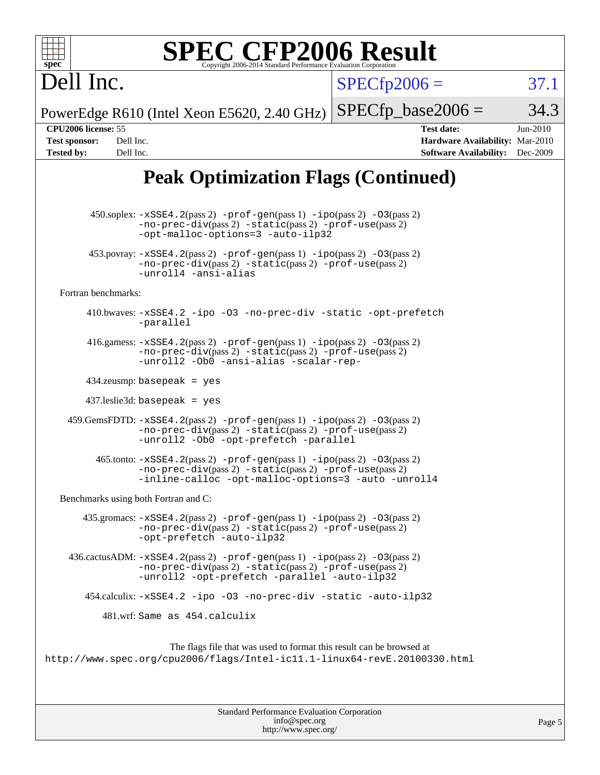| $spec^*$                                                                                   | <b>SPEC CFP2006 Result</b><br>Copyright 2006-2014 Standard Performance Evaluation Corporation                                                                                                                                          |                      |                                                                                       |                        |
|--------------------------------------------------------------------------------------------|----------------------------------------------------------------------------------------------------------------------------------------------------------------------------------------------------------------------------------------|----------------------|---------------------------------------------------------------------------------------|------------------------|
| Dell Inc.                                                                                  |                                                                                                                                                                                                                                        | $SPECfp2006 =$       |                                                                                       | 37.1                   |
|                                                                                            | PowerEdge R610 (Intel Xeon E5620, 2.40 GHz)                                                                                                                                                                                            | $SPECfp\_base2006 =$ |                                                                                       | 34.3                   |
| CPU2006 license: 55<br><b>Test sponsor:</b><br>Dell Inc.<br><b>Tested by:</b><br>Dell Inc. |                                                                                                                                                                                                                                        |                      | <b>Test date:</b><br>Hardware Availability: Mar-2010<br><b>Software Availability:</b> | $Jun-2010$<br>Dec-2009 |
|                                                                                            | <b>Peak Optimization Flags (Continued)</b>                                                                                                                                                                                             |                      |                                                                                       |                        |
|                                                                                            | $450.\text{soplex: } -x\text{SSE4}.2(\text{pass 2}) - \text{prof-gen}(\text{pass 1}) - \text{ipo}(\text{pass 2}) - 03(\text{pass 2})$<br>$-no-prec-div(pass 2) -static(pass 2) -prof-use(pass 2)$<br>-opt-malloc-options=3 -auto-ilp32 |                      |                                                                                       |                        |
|                                                                                            | $453.$ povray: $-xSSE4.2(pass2)$ -prof-gen $(pass1)$ -ipo $(pass2)$ -03 $(pass2)$<br>-no-prec-div(pass 2) -static(pass 2) -prof-use(pass 2)<br>-unroll4 -ansi-alias                                                                    |                      |                                                                                       |                        |
| Fortran benchmarks:                                                                        |                                                                                                                                                                                                                                        |                      |                                                                                       |                        |
|                                                                                            | 410.bwaves: -xSSE4.2 -ipo -03 -no-prec-div -static -opt-prefetch<br>-parallel                                                                                                                                                          |                      |                                                                                       |                        |
|                                                                                            | 416.gamess: $-xSSE4$ . $2(pass 2)$ -prof-gen(pass 1) -ipo(pass 2) -03(pass 2)<br>$-no-prec-div(pass 2) -static(pass 2) -prof-use(pass 2)$<br>-unroll2 -Ob0 -ansi-alias -scalar-rep-                                                    |                      |                                                                                       |                        |
|                                                                                            | $434$ .zeusmp: basepeak = yes                                                                                                                                                                                                          |                      |                                                                                       |                        |
|                                                                                            | $437$ .leslie3d: basepeak = yes                                                                                                                                                                                                        |                      |                                                                                       |                        |
|                                                                                            | 459.GemsFDTD: -xSSE4.2(pass 2) -prof-gen(pass 1) -ipo(pass 2) -03(pass 2)<br>-no-prec-div(pass 2) -static(pass 2) -prof-use(pass 2)<br>-unroll2 -Ob0 -opt-prefetch -parallel                                                           |                      |                                                                                       |                        |
|                                                                                            | $465$ .tonto: $-xSSE4$ . 2(pass 2) $-prof-gen(pass 1) -ipo(pass 2) -03(pass 2)$<br>-no-prec-div(pass 2) -static(pass 2) -prof-use(pass 2)<br>-inline-calloc -opt-malloc-options=3 -auto -unroll4                                       |                      |                                                                                       |                        |
|                                                                                            | Benchmarks using both Fortran and C:                                                                                                                                                                                                   |                      |                                                                                       |                        |
|                                                                                            | $435$ .gromacs: $-xSSE4$ . $2(pass 2)$ -prof-gen(pass 1) -ipo(pass 2) -03(pass 2)<br>-no-prec-div(pass 2) -static(pass 2) -prof-use(pass 2)<br>-opt-prefetch -auto-ilp32                                                               |                      |                                                                                       |                        |
|                                                                                            | 436.cactusADM: -xSSE4.2(pass 2) -prof-gen(pass 1) -ipo(pass 2) -03(pass 2)<br>$-no-prec-div(pass 2) -static(pass 2) -prot-use(pass 2)$<br>-unroll2 -opt-prefetch -parallel -auto-ilp32                                                 |                      |                                                                                       |                        |
|                                                                                            | 454.calculix: -xSSE4.2 -ipo -03 -no-prec-div -static -auto-ilp32                                                                                                                                                                       |                      |                                                                                       |                        |
|                                                                                            | 481.wrf: Same as 454.calculix                                                                                                                                                                                                          |                      |                                                                                       |                        |
|                                                                                            | The flags file that was used to format this result can be browsed at<br>http://www.spec.org/cpu2006/flags/Intel-icll.1-linux64-revE.20100330.html                                                                                      |                      |                                                                                       |                        |

| <b>Standard Performance Evaluation Corporation</b> |
|----------------------------------------------------|
| info@spec.org                                      |
| http://www.spec.org/                               |